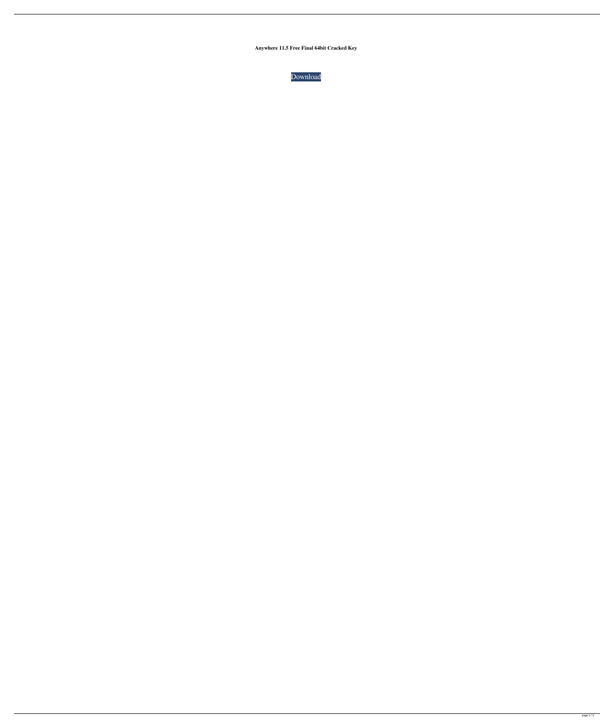**Anywhere 11.5 Free Final 64bit Cracked Key**

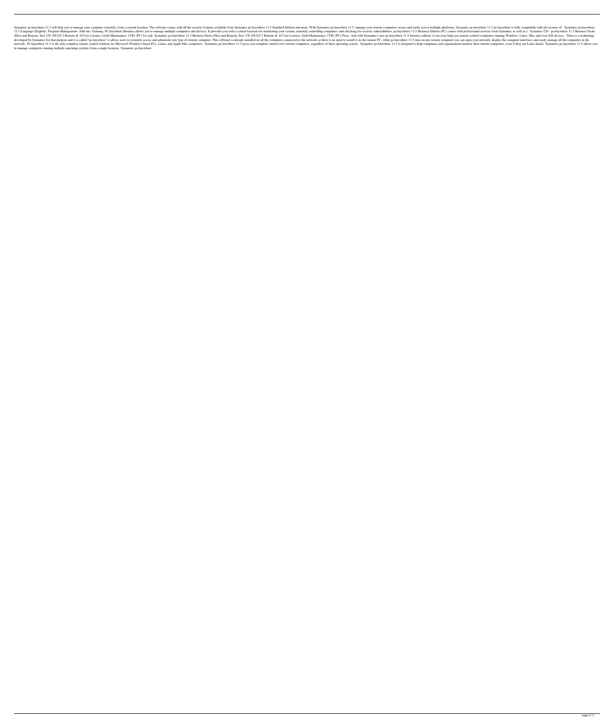Symantec pcAnywhere 11.5 will help you to manage your computer remotely, from a central location. The software comes with all the security features available from Symantec pcAnywhere 11.5, manage your remote computers secu 11.5 Language (English). Program Management. Add-ons. Training, PCAnywhere Business allows you to manage multiple computers and devices. It provides you with a central location for monitoring your system, remotely controll (Host and Remote, Incl. CD 10ULP 2 Remote & 10 User Licence, Gold Maintenance 1YR) (PC) for sale. Symantec pcAnywhere 11.5 Business Packs (Host and Remote, Incl. CD 10ULP 2 Remote & 10 User Licence, Gold Maintenance 1YR) ( developed by Symantec for that purpose and it is called "pcAnywhere" it allows users to remotely access and administer any type of remote computer. This software is already installed on all the computers connected to the n network. PcAnywhere 11.5 is the only complete remote control solution for Microsoft Windows-based PCs, Linux, and Apple Mac computers. Symantec pcAnywhere 11.5 gives you complete control over remote computers, regardless o to manage computers running multiple operating systems from a single location. Symantec pcAnywhere